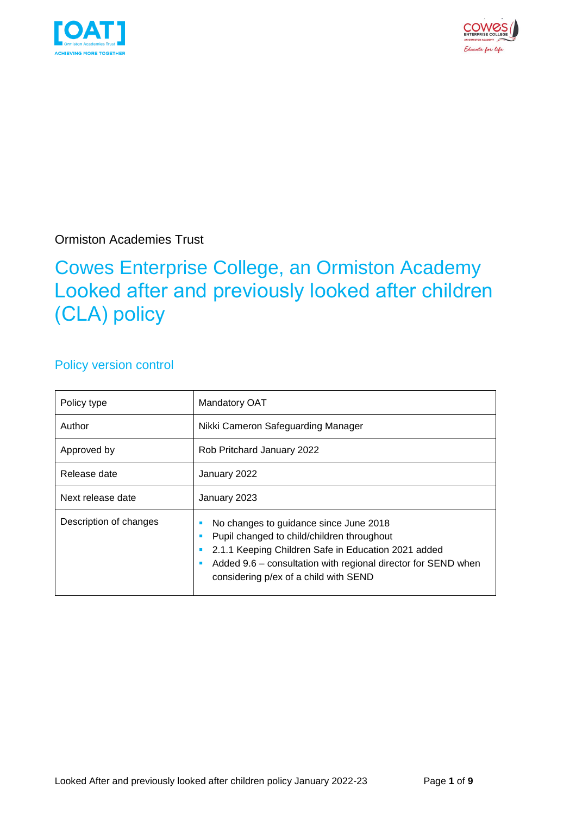



Ormiston Academies Trust

## Cowes Enterprise College, an Ormiston Academy Looked after and previously looked after children (CLA) policy

### Policy version control

| Policy type            | Mandatory OAT                                                                                                                                                                                                                                         |  |  |
|------------------------|-------------------------------------------------------------------------------------------------------------------------------------------------------------------------------------------------------------------------------------------------------|--|--|
| Author                 | Nikki Cameron Safeguarding Manager                                                                                                                                                                                                                    |  |  |
| Approved by            | Rob Pritchard January 2022                                                                                                                                                                                                                            |  |  |
| Release date           | January 2022                                                                                                                                                                                                                                          |  |  |
| Next release date      | January 2023                                                                                                                                                                                                                                          |  |  |
| Description of changes | No changes to guidance since June 2018<br>Pupil changed to child/children throughout<br>2.1.1 Keeping Children Safe in Education 2021 added<br>Added 9.6 – consultation with regional director for SEND when<br>considering p/ex of a child with SEND |  |  |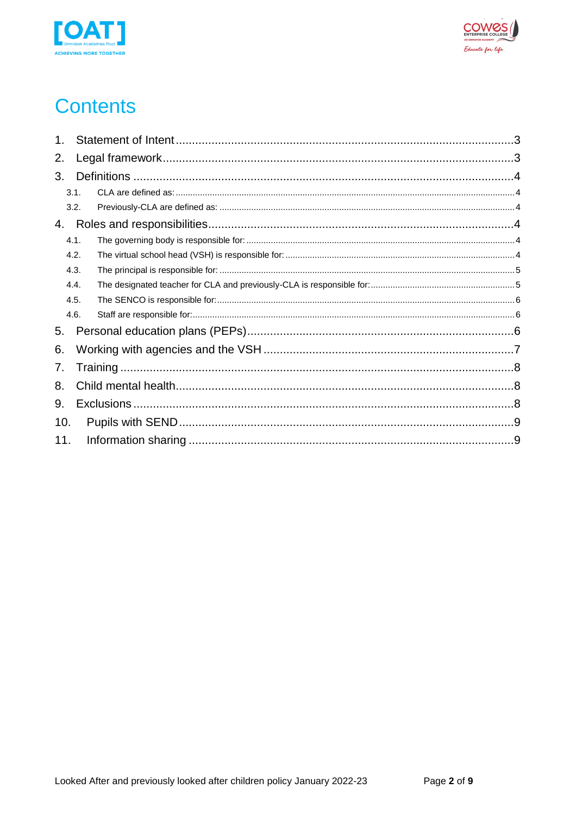



# **Contents**

| 1.  |      |  |  |  |  |
|-----|------|--|--|--|--|
| 2.  |      |  |  |  |  |
| 3.  |      |  |  |  |  |
|     | 3.1. |  |  |  |  |
|     | 3.2. |  |  |  |  |
| 4.  |      |  |  |  |  |
|     | 4.1. |  |  |  |  |
|     | 4.2. |  |  |  |  |
|     | 4.3. |  |  |  |  |
|     | 4.4. |  |  |  |  |
|     | 4.5. |  |  |  |  |
|     | 4.6. |  |  |  |  |
| 5.  |      |  |  |  |  |
| 6.  |      |  |  |  |  |
| 7.  |      |  |  |  |  |
| 8.  |      |  |  |  |  |
| 9.  |      |  |  |  |  |
| 10. |      |  |  |  |  |
| 11. |      |  |  |  |  |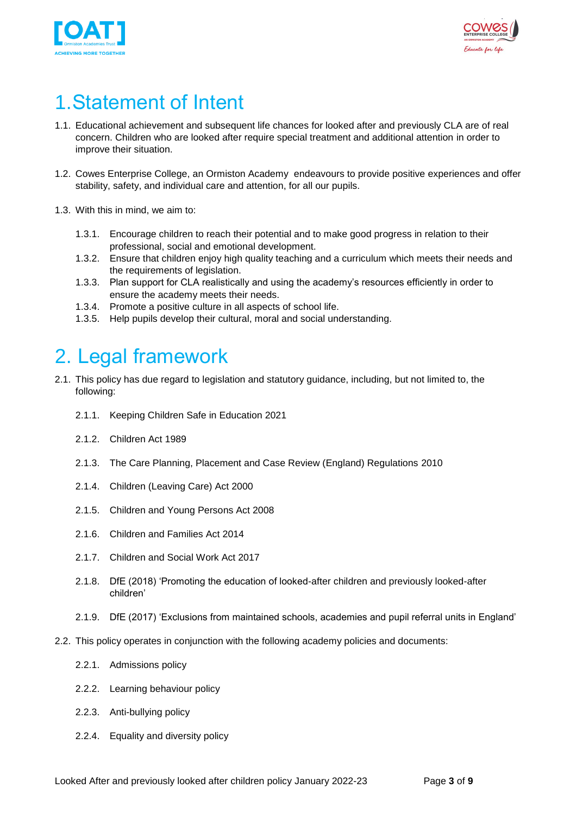



# <span id="page-2-0"></span>1.Statement of Intent

- 1.1. Educational achievement and subsequent life chances for looked after and previously CLA are of real concern. Children who are looked after require special treatment and additional attention in order to improve their situation.
- 1.2. Cowes Enterprise College, an Ormiston Academy endeavours to provide positive experiences and offer stability, safety, and individual care and attention, for all our pupils.
- 1.3. With this in mind, we aim to:
	- 1.3.1. Encourage children to reach their potential and to make good progress in relation to their professional, social and emotional development.
	- 1.3.2. Ensure that children enjoy high quality teaching and a curriculum which meets their needs and the requirements of legislation.
	- 1.3.3. Plan support for CLA realistically and using the academy's resources efficiently in order to ensure the academy meets their needs.
	- 1.3.4. Promote a positive culture in all aspects of school life.
	- 1.3.5. Help pupils develop their cultural, moral and social understanding.

## <span id="page-2-1"></span>2. Legal framework

- 2.1. This policy has due regard to legislation and statutory guidance, including, but not limited to, the following:
	- 2.1.1. Keeping Children Safe in Education 2021
	- 2.1.2. Children Act 1989
	- 2.1.3. The Care Planning, Placement and Case Review (England) Regulations 2010
	- 2.1.4. Children (Leaving Care) Act 2000
	- 2.1.5. Children and Young Persons Act 2008
	- 2.1.6. Children and Families Act 2014
	- 2.1.7. Children and Social Work Act 2017
	- 2.1.8. DfE (2018) 'Promoting the education of looked-after children and previously looked-after children'
	- 2.1.9. DfE (2017) 'Exclusions from maintained schools, academies and pupil referral units in England'
- 2.2. This policy operates in conjunction with the following academy policies and documents:
	- 2.2.1. Admissions policy
	- 2.2.2. Learning behaviour policy
	- 2.2.3. Anti-bullying policy
	- 2.2.4. Equality and diversity policy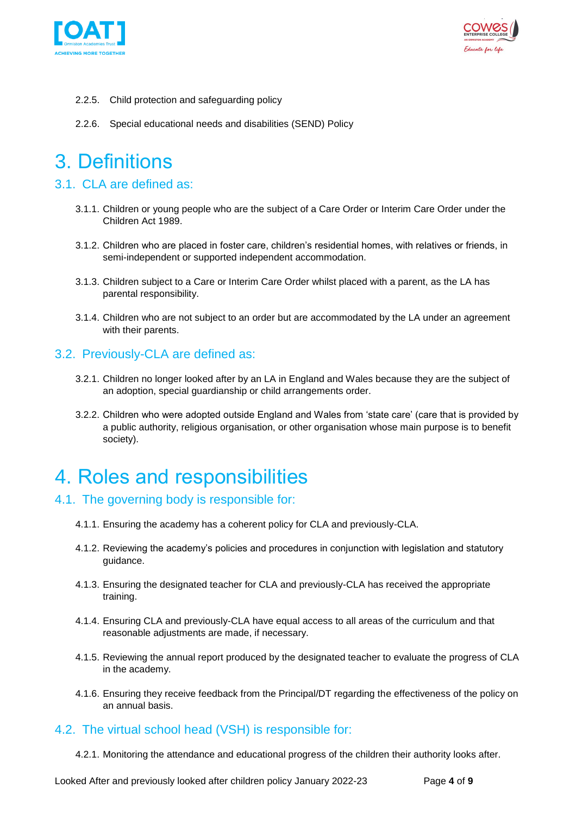



- 2.2.5. Child protection and safeguarding policy
- <span id="page-3-0"></span>2.2.6. Special educational needs and disabilities (SEND) Policy

## 3. Definitions

### <span id="page-3-1"></span>3.1. CLA are defined as:

- 3.1.1. Children or young people who are the subject of a Care Order or Interim Care Order under the Children Act 1989.
- 3.1.2. Children who are placed in foster care, children's residential homes, with relatives or friends, in semi-independent or supported independent accommodation.
- 3.1.3. Children subject to a Care or Interim Care Order whilst placed with a parent, as the LA has parental responsibility.
- 3.1.4. Children who are not subject to an order but are accommodated by the LA under an agreement with their parents.

### <span id="page-3-2"></span>3.2. Previously-CLA are defined as:

- 3.2.1. Children no longer looked after by an LA in England and Wales because they are the subject of an adoption, special guardianship or child arrangements order.
- 3.2.2. Children who were adopted outside England and Wales from 'state care' (care that is provided by a public authority, religious organisation, or other organisation whose main purpose is to benefit society).

## <span id="page-3-3"></span>4. Roles and responsibilities

### <span id="page-3-4"></span>4.1. The governing body is responsible for:

- 4.1.1. Ensuring the academy has a coherent policy for CLA and previously-CLA.
- 4.1.2. Reviewing the academy's policies and procedures in conjunction with legislation and statutory guidance.
- 4.1.3. Ensuring the designated teacher for CLA and previously-CLA has received the appropriate training.
- 4.1.4. Ensuring CLA and previously-CLA have equal access to all areas of the curriculum and that reasonable adjustments are made, if necessary.
- 4.1.5. Reviewing the annual report produced by the designated teacher to evaluate the progress of CLA in the academy.
- 4.1.6. Ensuring they receive feedback from the Principal/DT regarding the effectiveness of the policy on an annual basis.

#### <span id="page-3-5"></span>4.2. The virtual school head (VSH) is responsible for:

4.2.1. Monitoring the attendance and educational progress of the children their authority looks after.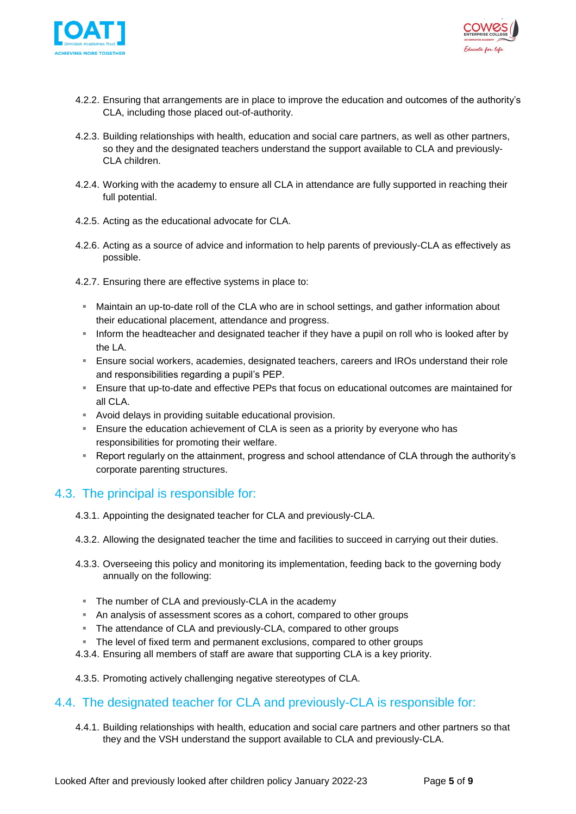



- 4.2.2. Ensuring that arrangements are in place to improve the education and outcomes of the authority's CLA, including those placed out-of-authority.
- 4.2.3. Building relationships with health, education and social care partners, as well as other partners, so they and the designated teachers understand the support available to CLA and previously-CLA children.
- 4.2.4. Working with the academy to ensure all CLA in attendance are fully supported in reaching their full potential.
- 4.2.5. Acting as the educational advocate for CLA.
- 4.2.6. Acting as a source of advice and information to help parents of previously-CLA as effectively as possible.
- 4.2.7. Ensuring there are effective systems in place to:
	- **■** Maintain an up-to-date roll of the CLA who are in school settings, and gather information about their educational placement, attendance and progress.
	- **EXED 10** Inform the headteacher and designated teacher if they have a pupil on roll who is looked after by the LA.
	- **E** Ensure social workers, academies, designated teachers, careers and IROs understand their role and responsibilities regarding a pupil's PEP.
	- **E** Ensure that up-to-date and effective PEPs that focus on educational outcomes are maintained for all CLA.
	- Avoid delays in providing suitable educational provision.
	- **E** Ensure the education achievement of CLA is seen as a priority by everyone who has responsibilities for promoting their welfare.
	- Report regularly on the attainment, progress and school attendance of CLA through the authority's corporate parenting structures.

### <span id="page-4-0"></span>4.3. The principal is responsible for:

- 4.3.1. Appointing the designated teacher for CLA and previously-CLA.
- 4.3.2. Allowing the designated teacher the time and facilities to succeed in carrying out their duties.
- 4.3.3. Overseeing this policy and monitoring its implementation, feeding back to the governing body annually on the following:
	- The number of CLA and previously-CLA in the academy
	- An analysis of assessment scores as a cohort, compared to other groups
	- **EXTHE Attendance of CLA and previously-CLA, compared to other groups**
	- The level of fixed term and permanent exclusions, compared to other groups
- 4.3.4. Ensuring all members of staff are aware that supporting CLA is a key priority.
- 4.3.5. Promoting actively challenging negative stereotypes of CLA.

#### <span id="page-4-1"></span>4.4. The designated teacher for CLA and previously-CLA is responsible for:

4.4.1. Building relationships with health, education and social care partners and other partners so that they and the VSH understand the support available to CLA and previously-CLA.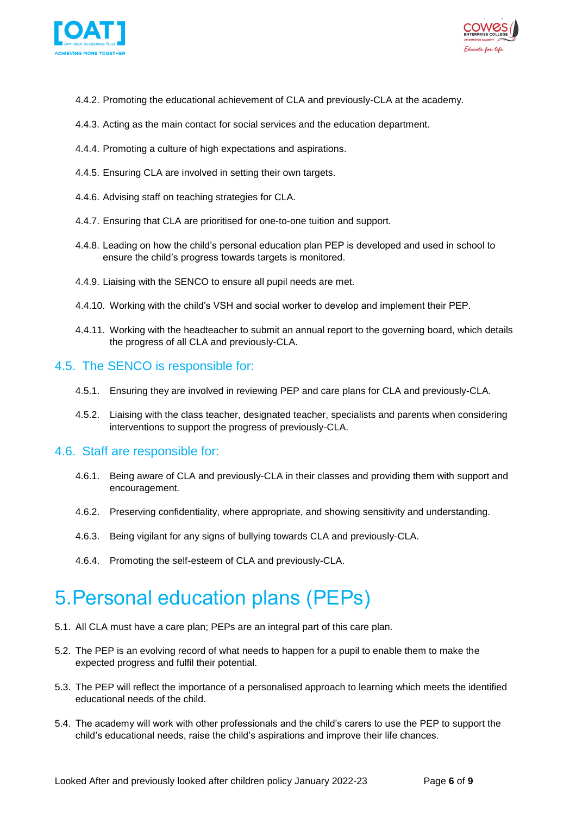



- 4.4.2. Promoting the educational achievement of CLA and previously-CLA at the academy.
- 4.4.3. Acting as the main contact for social services and the education department.
- 4.4.4. Promoting a culture of high expectations and aspirations.
- 4.4.5. Ensuring CLA are involved in setting their own targets.
- 4.4.6. Advising staff on teaching strategies for CLA.
- 4.4.7. Ensuring that CLA are prioritised for one-to-one tuition and support.
- 4.4.8. Leading on how the child's personal education plan PEP is developed and used in school to ensure the child's progress towards targets is monitored.
- 4.4.9. Liaising with the SENCO to ensure all pupil needs are met.
- 4.4.10. Working with the child's VSH and social worker to develop and implement their PEP.
- 4.4.11. Working with the headteacher to submit an annual report to the governing board, which details the progress of all CLA and previously-CLA.

### <span id="page-5-0"></span>4.5. The SENCO is responsible for:

- 4.5.1. Ensuring they are involved in reviewing PEP and care plans for CLA and previously-CLA.
- 4.5.2. Liaising with the class teacher, designated teacher, specialists and parents when considering interventions to support the progress of previously-CLA.

#### <span id="page-5-1"></span>4.6. Staff are responsible for:

- 4.6.1. Being aware of CLA and previously-CLA in their classes and providing them with support and encouragement.
- 4.6.2. Preserving confidentiality, where appropriate, and showing sensitivity and understanding.
- 4.6.3. Being vigilant for any signs of bullying towards CLA and previously-CLA.
- 4.6.4. Promoting the self-esteem of CLA and previously-CLA.

## <span id="page-5-2"></span>5.Personal education plans (PEPs)

- 5.1. All CLA must have a care plan; PEPs are an integral part of this care plan.
- 5.2. The PEP is an evolving record of what needs to happen for a pupil to enable them to make the expected progress and fulfil their potential.
- 5.3. The PEP will reflect the importance of a personalised approach to learning which meets the identified educational needs of the child.
- 5.4. The academy will work with other professionals and the child's carers to use the PEP to support the child's educational needs, raise the child's aspirations and improve their life chances.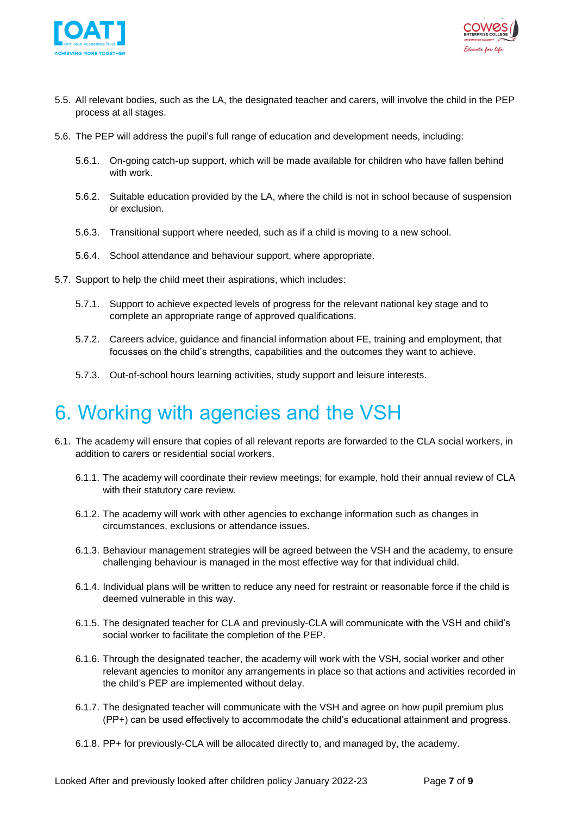



- 5.5. All relevant bodies, such as the LA, the designated teacher and carers, will involve the child in the PEP process at all stages.
- 5.6. The PEP will address the pupil's full range of education and development needs, including:
	- 5.6.1. On-going catch-up support, which will be made available for children who have fallen behind with work.
	- 5.6.2. Suitable education provided by the LA, where the child is not in school because of suspension or exclusion.
	- 5.6.3. Transitional support where needed, such as if a child is moving to a new school.
	- 5.6.4. School attendance and behaviour support, where appropriate.
- 5.7. Support to help the child meet their aspirations, which includes:
	- 5.7.1. Support to achieve expected levels of progress for the relevant national key stage and to complete an appropriate range of approved qualifications.
	- 5.7.2. Careers advice, guidance and financial information about FE, training and employment, that focusses on the child's strengths, capabilities and the outcomes they want to achieve.
	- 5.7.3. Out-of-school hours learning activities, study support and leisure interests.

## <span id="page-6-0"></span>6. Working with agencies and the VSH

- 6.1. The academy will ensure that copies of all relevant reports are forwarded to the CLA social workers, in addition to carers or residential social workers.
	- 6.1.1. The academy will coordinate their review meetings; for example, hold their annual review of CLA with their statutory care review.
	- 6.1.2. The academy will work with other agencies to exchange information such as changes in circumstances, exclusions or attendance issues.
	- 6.1.3. Behaviour management strategies will be agreed between the VSH and the academy, to ensure challenging behaviour is managed in the most effective way for that individual child.
	- 6.1.4. Individual plans will be written to reduce any need for restraint or reasonable force if the child is deemed vulnerable in this way.
	- 6.1.5. The designated teacher for CLA and previously-CLA will communicate with the VSH and child's social worker to facilitate the completion of the PEP.
	- 6.1.6. Through the designated teacher, the academy will work with the VSH, social worker and other relevant agencies to monitor any arrangements in place so that actions and activities recorded in the child's PEP are implemented without delay.
	- 6.1.7. The designated teacher will communicate with the VSH and agree on how pupil premium plus (PP+) can be used effectively to accommodate the child's educational attainment and progress.
	- 6.1.8. PP+ for previously-CLA will be allocated directly to, and managed by, the academy.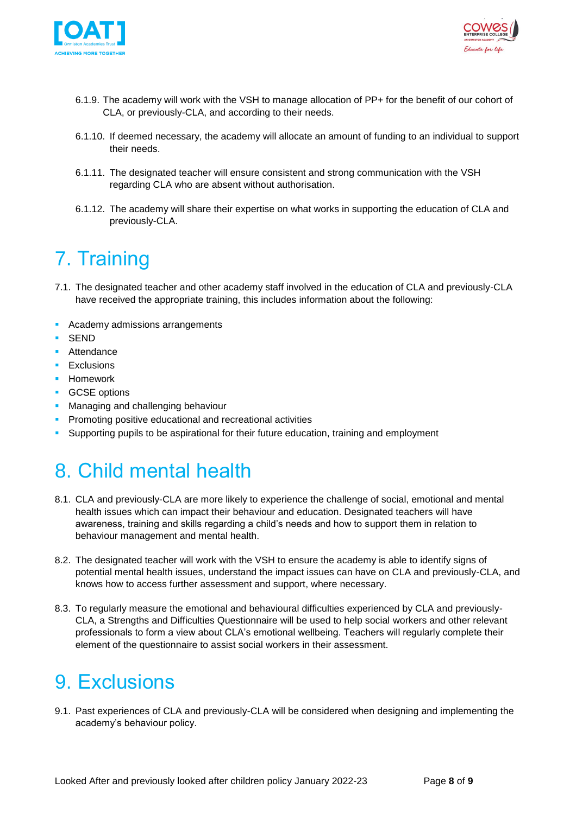



- 6.1.9. The academy will work with the VSH to manage allocation of PP+ for the benefit of our cohort of CLA, or previously-CLA, and according to their needs.
- 6.1.10. If deemed necessary, the academy will allocate an amount of funding to an individual to support their needs.
- 6.1.11. The designated teacher will ensure consistent and strong communication with the VSH regarding CLA who are absent without authorisation.
- 6.1.12. The academy will share their expertise on what works in supporting the education of CLA and previously-CLA.

# <span id="page-7-0"></span>7. Training

- 7.1. The designated teacher and other academy staff involved in the education of CLA and previously-CLA have received the appropriate training, this includes information about the following:
- Academy admissions arrangements
- SEND
- Attendance
- **Exclusions**
- Homework
- GCSE options
- **■** Managing and challenging behaviour
- **Promoting positive educational and recreational activities**
- Supporting pupils to be aspirational for their future education, training and employment

# <span id="page-7-1"></span>8. Child mental health

- 8.1. CLA and previously-CLA are more likely to experience the challenge of social, emotional and mental health issues which can impact their behaviour and education. Designated teachers will have awareness, training and skills regarding a child's needs and how to support them in relation to behaviour management and mental health.
- 8.2. The designated teacher will work with the VSH to ensure the academy is able to identify signs of potential mental health issues, understand the impact issues can have on CLA and previously-CLA, and knows how to access further assessment and support, where necessary.
- 8.3. To regularly measure the emotional and behavioural difficulties experienced by CLA and previously-CLA, a Strengths and Difficulties Questionnaire will be used to help social workers and other relevant professionals to form a view about CLA's emotional wellbeing. Teachers will regularly complete their element of the questionnaire to assist social workers in their assessment.

# <span id="page-7-2"></span>9. Exclusions

9.1. Past experiences of CLA and previously-CLA will be considered when designing and implementing the academy's behaviour policy.